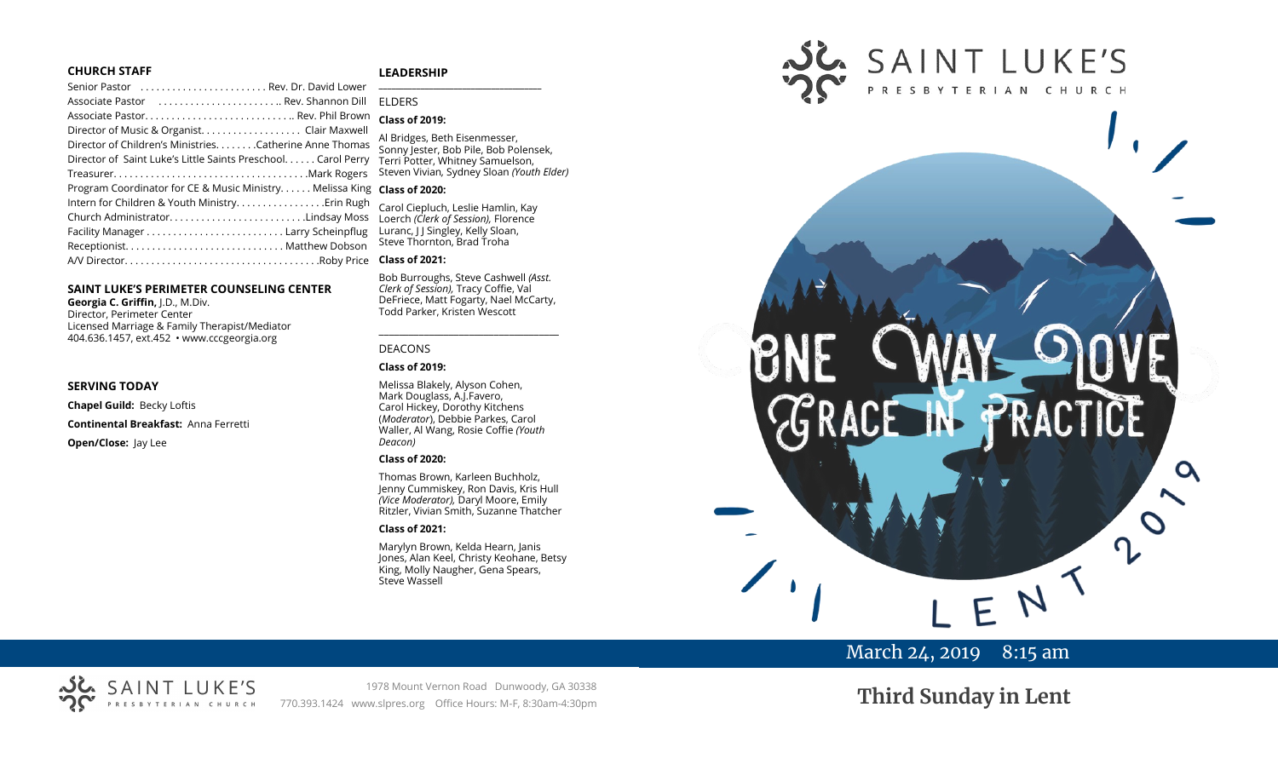#### **CHURCH STAFF**

#### **LEADERSHIP**

| Senior Pastor  Rev. Dr. David Lower                                     |                                                                        |
|-------------------------------------------------------------------------|------------------------------------------------------------------------|
|                                                                         | <b>FIDERS</b>                                                          |
| Associate Pastor Rev. Phil Brown                                        | <b>Class of 2019:</b>                                                  |
|                                                                         |                                                                        |
| Director of Children's MinistriesCatherine Anne Thomas                  | Al Bridges, Beth Eisenmesser,<br>Sonny Jester, Bob Pile, Bob Polensek, |
| Director of Saint Luke's Little Saints Preschool. Carol Perry           | Terri Potter, Whitney Samuelson,                                       |
|                                                                         | Steven Vivian, Sydney Sloan (Youth Elder)                              |
| Program Coordinator for CE & Music Ministry Melissa King Class of 2020: |                                                                        |
| Intern for Children & Youth Ministry Erin Rugh                          | Carol Ciepluch, Leslie Hamlin, Kay                                     |
| Church AdministratorLindsay Moss                                        | Loerch (Clerk of Session), Florence                                    |
|                                                                         | Luranc, J J Singley, Kelly Sloan,                                      |
|                                                                         | Steve Thornton, Brad Troha                                             |
|                                                                         | <b>Class of 2021:</b>                                                  |

#### **SAINT LUKE'S PERIMETER COUNSELING CENTER**

**Georgia C. Griffin,** J.D., M.Div. Director, Perimeter Center Licensed Marriage & Family Therapist/Mediator 404.636.1457, ext.452 • www.cccgeorgia.org

#### **SERVING TODAY**

**Chapel Guild:** Becky Loftis **Continental Breakfast:** Anna Ferretti **Open/Close:** Jay Lee

#### Waller, Al Wang, Rosie Coffie *(Youth Deacon)*

#### **Class of 2020:**

DEACONS **Class of 2019:**

Thomas Brown, Karleen Buchholz, Jenny Cummiskey, Ron Davis, Kris Hull *(Vice Moderator),* Daryl Moore, Emily Ritzler, Vivian Smith, Suzanne Thatcher

Bob Burroughs, Steve Cashwell *(Asst. Clerk of Session),* Tracy Coffie, Val DeFriece, Matt Fogarty, Nael McCarty, Todd Parker, Kristen Wescott

\_\_\_\_\_\_\_\_\_\_\_\_\_\_\_\_\_\_\_\_\_\_\_\_\_\_\_\_\_\_\_\_\_\_\_\_

Melissa Blakely, Alyson Cohen, Mark Douglass, A.J.Favero, Carol Hickey, Dorothy Kitchens (*Moderator*), Debbie Parkes, Carol

#### **Class of 2021:**

Marylyn Brown, Kelda Hearn, Janis Jones, Alan Keel, Christy Keohane, Betsy King, Molly Naugher, Gena Spears, Steve Wassell



# March 24, 2019 8:15 am

# SAINT LUKE'S ERIAN CHURCH

1978 Mount Vernon Road Dunwoody, GA 30338 770.393.1424 www.slpres.org Office Hours: M-F, 8:30am-4:30pm **Third Sunday in Lent**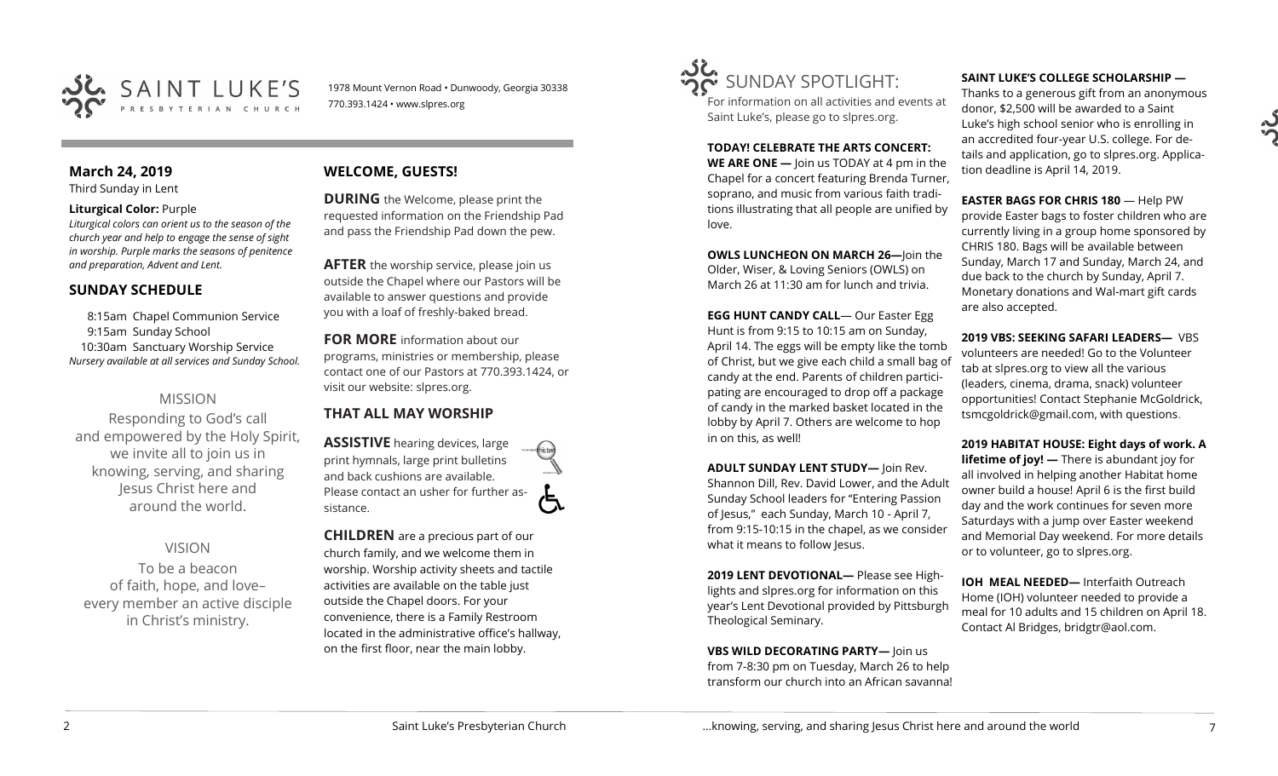

1978 Mount Vernon Road • Dunwoody, Georgia 30338 770.393.1424 • www.slpres.org

## **March 24, 2019**

Third Sunday in Lent

#### **Liturgical Color:** Purple

*Liturgical colors can orient us to the season of the church year and help to engage the sense of sight in worship. Purple marks the seasons of penitence and preparation, Advent and Lent.*

## **SUNDAY SCHEDULE**

8:15am Chapel Communion Service 9:15am Sunday School 10:30am Sanctuary Worship Service *Nursery available at all services and Sunday School.* 

## MISSION

Responding to God's call and empowered by the Holy Spirit, we invite all to join us in knowing, serving, and sharing Jesus Christ here and around the world.

VISION To be a beacon of faith, hope, and love– every member an active disciple in Christ's ministry.

## **WELCOME, GUESTS!**

**DURING** the Welcome, please print the requested information on the Friendship Pad and pass the Friendship Pad down the pew.

**AFTER** the worship service, please join us outside the Chapel where our Pastors will be available to answer questions and provide you with a loaf of freshly-baked bread.

**FOR MORE** information about our programs, ministries or membership, please contact one of our Pastors at 770.393.1424, or visit our website: slpres.org.

## **THAT ALL MAY WORSHIP**

**ASSISTIVE** hearing devices, large print hymnals, large print bulletins and back cushions are available. Please contact an usher for further assistance.

**CHILDREN** are a precious part of our church family, and we welcome them in worship. Worship activity sheets and tactile activities are available on the table just outside the Chapel doors. For your convenience, there is a Family Restroom located in the administrative office's hallway, on the first floor, near the main lobby.



For information on all activities and events at Saint Luke's, please go to slpres.org.

**TODAY! CELEBRATE THE ARTS CONCERT: WE ARE ONE —** Join us TODAY at 4 pm in the Chapel for a concert featuring Brenda Turner, soprano, and music from various faith traditions illustrating that all people are unified by love.

**OWLS LUNCHEON ON MARCH 26—**Join the Older, Wiser, & Loving Seniors (OWLS) on March 26 at 11:30 am for lunch and trivia.

**EGG HUNT CANDY CALL**— Our Easter Egg Hunt is from 9:15 to 10:15 am on Sunday, April 14. The eggs will be empty like the tomb of Christ, but we give each child a small bag of candy at the end. Parents of children participating are encouraged to drop off a package of candy in the marked basket located in the lobby by April 7. Others are welcome to hop in on this, as well!

**ADULT SUNDAY LENT STUDY—** Join Rev. Shannon Dill, Rev. David Lower, and the Adult Sunday School leaders for "Entering Passion of Jesus," each Sunday, March 10 - April 7, from 9:15-10:15 in the chapel, as we consider what it means to follow Jesus.

**2019 LENT DEVOTIONAL—** Please see Highlights and slpres.org for information on this year's Lent Devotional provided by Pittsburgh Theological Seminary.

**VBS WILD DECORATING PARTY—** Join us

from 7-8:30 pm on Tuesday, March 26 to help transform our church into an African savanna!

#### **SAINT LUKE'S COLLEGE SCHOLARSHIP —**

Thanks to a generous gift from an anonymous donor, \$2,500 will be awarded to a Saint Luke's high school senior who is enrolling in an accredited four-year U.S. college. For details and application, go to slpres.org. Application deadline is April 14, 2019.

**EASTER BAGS FOR CHRIS 180** — Help PW provide Easter bags to foster children who are currently living in a group home sponsored by CHRIS 180. Bags will be available between Sunday, March 17 and Sunday, March 24, and due back to the church by Sunday, April 7. Monetary donations and Wal-mart gift cards are also accepted.

**2019 VBS: SEEKING SAFARI LEADERS—** VBS volunteers are needed! Go to the Volunteer tab at slpres.org to view all the various (leaders, cinema, drama, snack) volunteer opportunities! Contact Stephanie McGoldrick, tsmcgoldrick@gmail.com, with questions.

**2019 HABITAT HOUSE: Eight days of work. A lifetime of joy! —** There is abundant joy for all involved in helping another Habitat home owner build a house! April 6 is the first build day and the work continues for seven more Saturdays with a jump over Easter weekend and Memorial Day weekend. For more details or to volunteer, go to slpres.org.

**IOH MEAL NEEDED—** Interfaith Outreach Home (IOH) volunteer needed to provide a meal for 10 adults and 15 children on April 18. Contact Al Bridges, bridgtr@aol.com.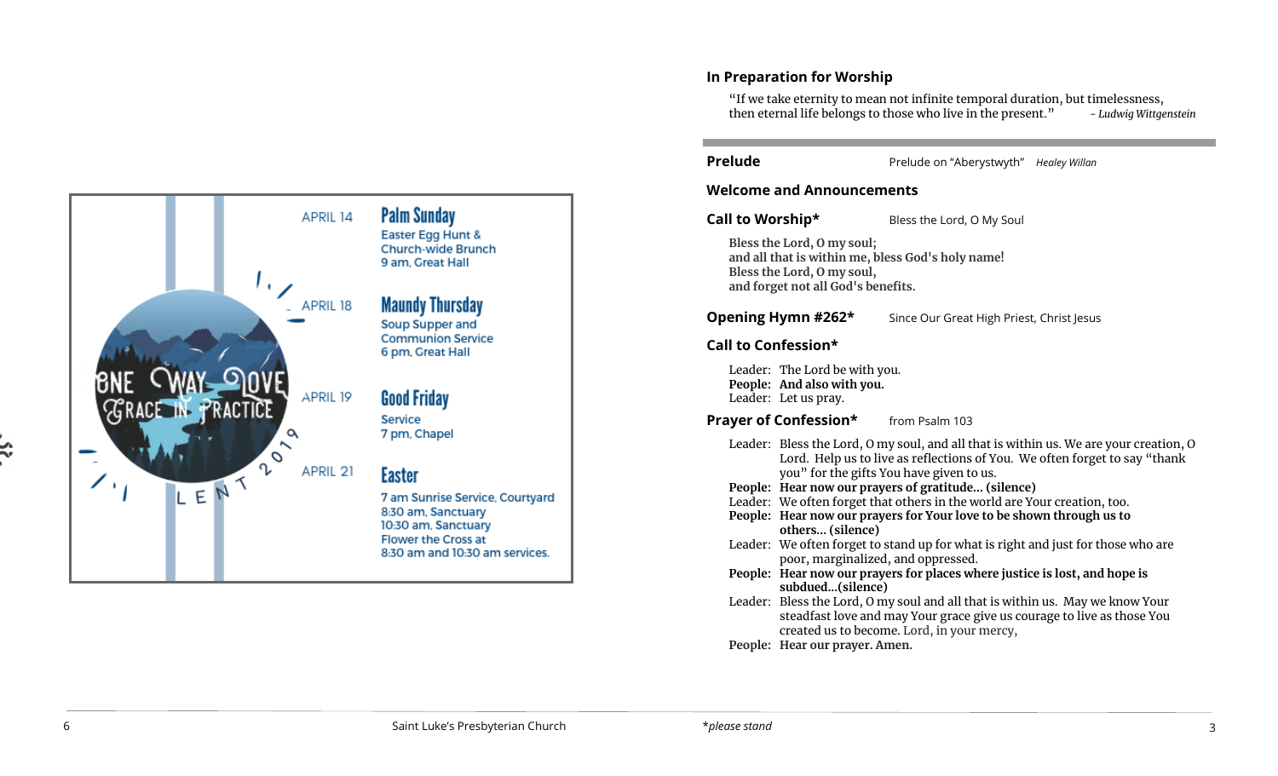

## **In Preparation for Worship**

"If we take eternity to mean not infinite temporal duration, but timelessness, then eternal life belongs to those who live in the present. " *- Ludwig Wittgenstein*

**Prelude Prelude on "Aberystwyth" Healey Willan** 

## **Welcome and Announcements**

**Call to Worship\*** Bless the Lord, O My Soul

**Bless the Lord, O my soul; and all that is within me, bless God's holy name! Bless the Lord, O my soul, and forget not all God's benefits.**

**Opening Hymn #262\*** Since Our Great High Priest, Christ Jesus

## **Call to Confession\***

Leader: The Lord be with you. **People: And also with you.**  Leader: Let us pray.

**Prayer of Confession\*** from Psalm 103

- Leader: Bless the Lord, O my soul, and all that is within us. We are your creation, O Lord. Help us to live as reflections of You. We often forget to say "thank you" for the gifts You have given to us.
- **People: Hear now our prayers of gratitude... (silence)**
- Leader: We often forget that others in the world are Your creation, too.
- **People: Hear now our prayers for Your love to be shown through us to others... (silence)**
- Leader: We often forget to stand up for what is right and just for those who are poor, marginalized, and oppressed.
- **People: Hear now our prayers for places where justice is lost, and hope is subdued...(silence)**
- Leader: Bless the Lord, O my soul and all that is within us. May we know Your steadfast love and may Your grace give us courage to live as those You created us to become. Lord, in your mercy,

**People: Hear our prayer. Amen.**